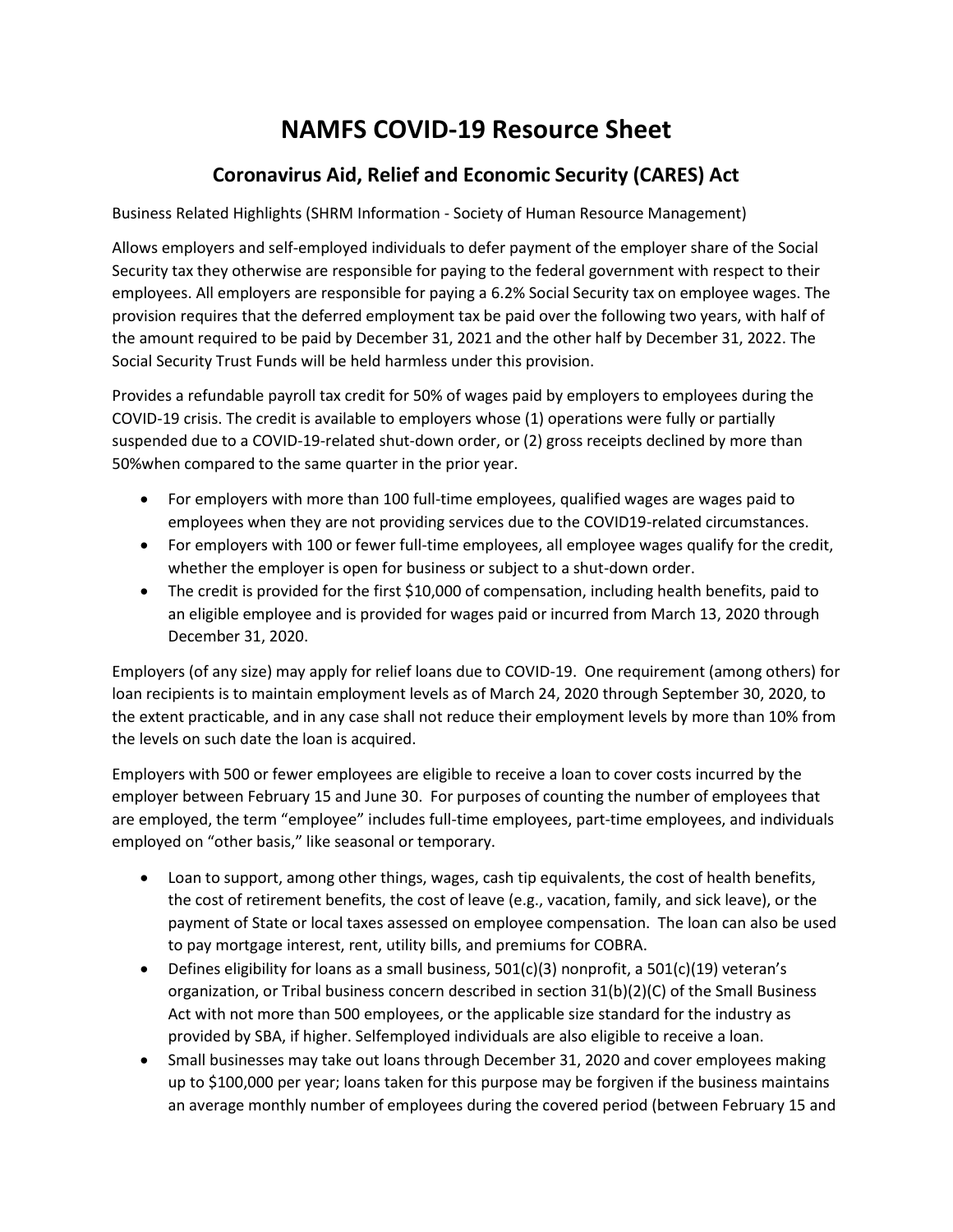## **NAMFS COVID-19 Resource Sheet**

## **Coronavirus Aid, Relief and Economic Security (CARES) Act**

Business Related Highlights (SHRM Information - Society of Human Resource Management)

Allows employers and self-employed individuals to defer payment of the employer share of the Social Security tax they otherwise are responsible for paying to the federal government with respect to their employees. All employers are responsible for paying a 6.2% Social Security tax on employee wages. The provision requires that the deferred employment tax be paid over the following two years, with half of the amount required to be paid by December 31, 2021 and the other half by December 31, 2022. The Social Security Trust Funds will be held harmless under this provision.

Provides a refundable payroll tax credit for 50% of wages paid by employers to employees during the COVID-19 crisis. The credit is available to employers whose (1) operations were fully or partially suspended due to a COVID-19-related shut-down order, or (2) gross receipts declined by more than 50%when compared to the same quarter in the prior year.

- For employers with more than 100 full-time employees, qualified wages are wages paid to employees when they are not providing services due to the COVID19-related circumstances.
- For employers with 100 or fewer full-time employees, all employee wages qualify for the credit, whether the employer is open for business or subject to a shut-down order.
- The credit is provided for the first \$10,000 of compensation, including health benefits, paid to an eligible employee and is provided for wages paid or incurred from March 13, 2020 through December 31, 2020.

Employers (of any size) may apply for relief loans due to COVID-19. One requirement (among others) for loan recipients is to maintain employment levels as of March 24, 2020 through September 30, 2020, to the extent practicable, and in any case shall not reduce their employment levels by more than 10% from the levels on such date the loan is acquired.

Employers with 500 or fewer employees are eligible to receive a loan to cover costs incurred by the employer between February 15 and June 30. For purposes of counting the number of employees that are employed, the term "employee" includes full-time employees, part-time employees, and individuals employed on "other basis," like seasonal or temporary.

- Loan to support, among other things, wages, cash tip equivalents, the cost of health benefits, the cost of retirement benefits, the cost of leave (e.g., vacation, family, and sick leave), or the payment of State or local taxes assessed on employee compensation. The loan can also be used to pay mortgage interest, rent, utility bills, and premiums for COBRA.
- Defines eligibility for loans as a small business,  $501(c)(3)$  nonprofit, a  $501(c)(19)$  veteran's organization, or Tribal business concern described in section 31(b)(2)(C) of the Small Business Act with not more than 500 employees, or the applicable size standard for the industry as provided by SBA, if higher. Selfemployed individuals are also eligible to receive a loan.
- Small businesses may take out loans through December 31, 2020 and cover employees making up to \$100,000 per year; loans taken for this purpose may be forgiven if the business maintains an average monthly number of employees during the covered period (between February 15 and